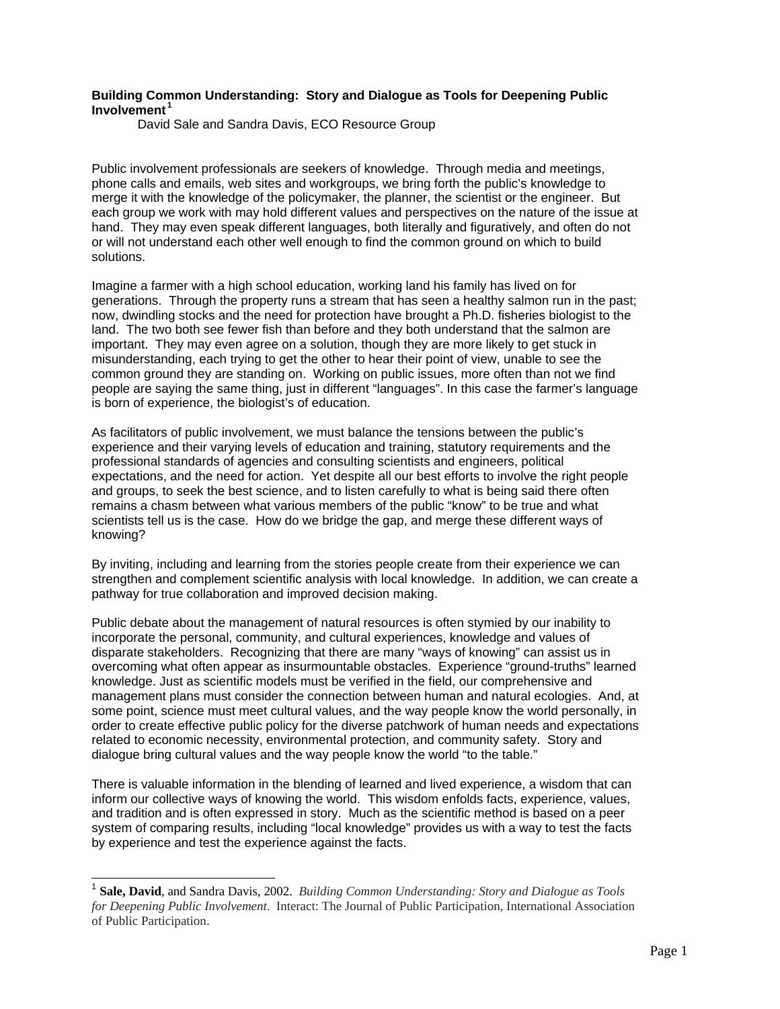## **Building Common Understanding: Story and Dialogue as Tools for Deepening Public Involvement <sup>1</sup>**

David Sale and Sandra Davis, ECO Resource Group

Public involvement professionals are seekers of knowledge. Through media and meetings, phone calls and emails, web sites and workgroups, we bring forth the public's knowledge to merge it with the knowledge of the policymaker, the planner, the scientist or the engineer. But each group we work with may hold different values and perspectives on the nature of the issue at hand. They may even speak different languages, both literally and figuratively, and often do not or will not understand each other well enough to find the common ground on which to build solutions.

Imagine a farmer with a high school education, working land his family has lived on for generations. Through the property runs a stream that has seen a healthy salmon run in the past; now, dwindling stocks and the need for protection have brought a Ph.D. fisheries biologist to the land. The two both see fewer fish than before and they both understand that the salmon are important. They may even agree on a solution, though they are more likely to get stuck in misunderstanding, each trying to get the other to hear their point of view, unable to see the common ground they are standing on. Working on public issues, more often than not we find people are saying the same thing, just in different "languages". In this case the farmer's language is born of experience, the biologist's of education.

As facilitators of public involvement, we must balance the tensions between the public's experience and their varying levels of education and training, statutory requirements and the professional standards of agencies and consulting scientists and engineers, political expectations, and the need for action. Yet despite all our best efforts to involve the right people and groups, to seek the best science, and to listen carefully to what is being said there often remains a chasm between what various members of the public "know" to be true and what scientists tell us is the case. How do we bridge the gap, and merge these different ways of knowing?

By inviting, including and learning from the stories people create from their experience we can strengthen and complement scientific analysis with local knowledge. In addition, we can create a pathway for true collaboration and improved decision making.

Public debate about the management of natural resources is often stymied by our inability to incorporate the personal, community, and cultural experiences, knowledge and values of disparate stakeholders. Recognizing that there are many "ways of knowing" can assist us in overcoming what often appear as insurmountable obstacles. Experience "ground-truths" learned knowledge. Just as scientific models must be verified in the field, our comprehensive and management plans must consider the connection between human and natural ecologies. And, at some point, science must meet cultural values, and the way people know the world personally, in order to create effective public policy for the diverse patchwork of human needs and expectations related to economic necessity, environmental protection, and community safety. Story and dialogue bring cultural values and the way people know the world "to the table."

There is valuable information in the blending of learned and lived experience, a wisdom that can inform our collective ways of knowing the world. This wisdom enfolds facts, experience, values, and tradition and is often expressed in story. Much as the scientific method is based on a peer system of comparing results, including "local knowledge" provides us with a way to test the facts by experience and test the experience against the facts.

l

<sup>1</sup> **Sale, David**, and Sandra Davis, 2002. *Building Common Understanding: Story and Dialogue as Tools for Deepening Public Involvement*. Interact: The Journal of Public Participation, International Association of Public Participation.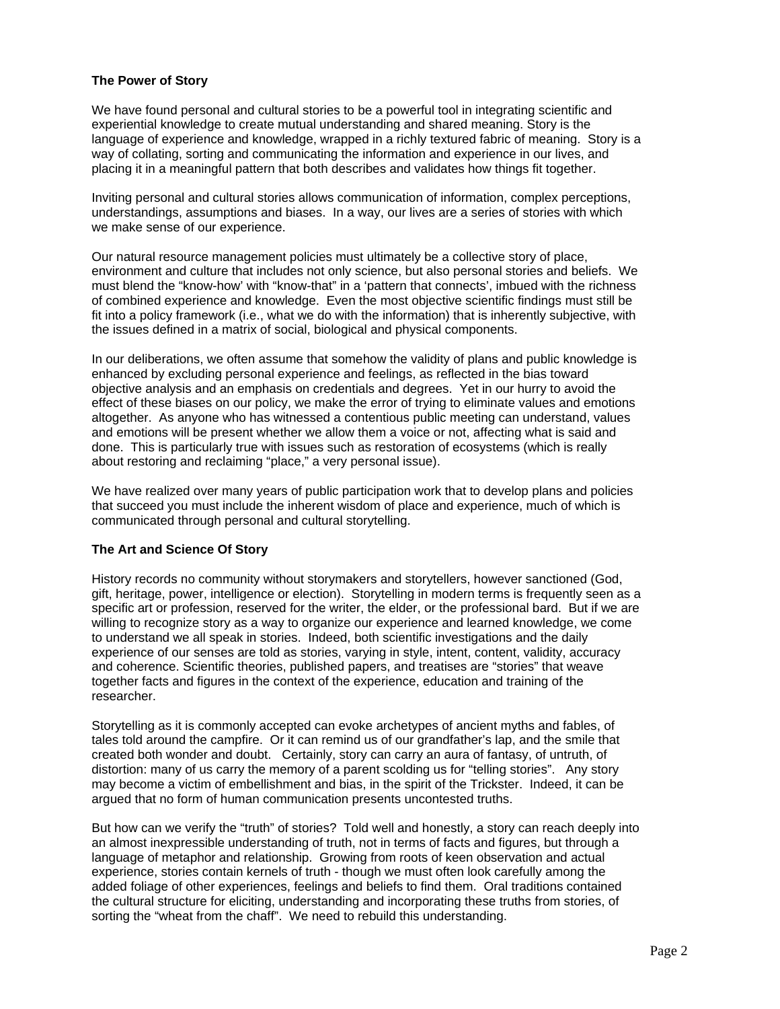# **The Power of Story**

We have found personal and cultural stories to be a powerful tool in integrating scientific and experiential knowledge to create mutual understanding and shared meaning. Story is the language of experience and knowledge, wrapped in a richly textured fabric of meaning. Story is a way of collating, sorting and communicating the information and experience in our lives, and placing it in a meaningful pattern that both describes and validates how things fit together.

Inviting personal and cultural stories allows communication of information, complex perceptions, understandings, assumptions and biases. In a way, our lives are a series of stories with which we make sense of our experience.

Our natural resource management policies must ultimately be a collective story of place, environment and culture that includes not only science, but also personal stories and beliefs. We must blend the "know-how' with "know-that" in a 'pattern that connects', imbued with the richness of combined experience and knowledge. Even the most objective scientific findings must still be fit into a policy framework (i.e., what we do with the information) that is inherently subjective, with the issues defined in a matrix of social, biological and physical components.

In our deliberations, we often assume that somehow the validity of plans and public knowledge is enhanced by excluding personal experience and feelings, as reflected in the bias toward objective analysis and an emphasis on credentials and degrees. Yet in our hurry to avoid the effect of these biases on our policy, we make the error of trying to eliminate values and emotions altogether. As anyone who has witnessed a contentious public meeting can understand, values and emotions will be present whether we allow them a voice or not, affecting what is said and done. This is particularly true with issues such as restoration of ecosystems (which is really about restoring and reclaiming "place," a very personal issue).

We have realized over many years of public participation work that to develop plans and policies that succeed you must include the inherent wisdom of place and experience, much of which is communicated through personal and cultural storytelling.

#### **The Art and Science Of Story**

History records no community without storymakers and storytellers, however sanctioned (God, gift, heritage, power, intelligence or election). Storytelling in modern terms is frequently seen as a specific art or profession, reserved for the writer, the elder, or the professional bard. But if we are willing to recognize story as a way to organize our experience and learned knowledge, we come to understand we all speak in stories. Indeed, both scientific investigations and the daily experience of our senses are told as stories, varying in style, intent, content, validity, accuracy and coherence. Scientific theories, published papers, and treatises are "stories" that weave together facts and figures in the context of the experience, education and training of the researcher.

Storytelling as it is commonly accepted can evoke archetypes of ancient myths and fables, of tales told around the campfire. Or it can remind us of our grandfather's lap, and the smile that created both wonder and doubt. Certainly, story can carry an aura of fantasy, of untruth, of distortion: many of us carry the memory of a parent scolding us for "telling stories". Any story may become a victim of embellishment and bias, in the spirit of the Trickster. Indeed, it can be argued that no form of human communication presents uncontested truths.

But how can we verify the "truth" of stories? Told well and honestly, a story can reach deeply into an almost inexpressible understanding of truth, not in terms of facts and figures, but through a language of metaphor and relationship. Growing from roots of keen observation and actual experience, stories contain kernels of truth - though we must often look carefully among the added foliage of other experiences, feelings and beliefs to find them. Oral traditions contained the cultural structure for eliciting, understanding and incorporating these truths from stories, of sorting the "wheat from the chaff". We need to rebuild this understanding.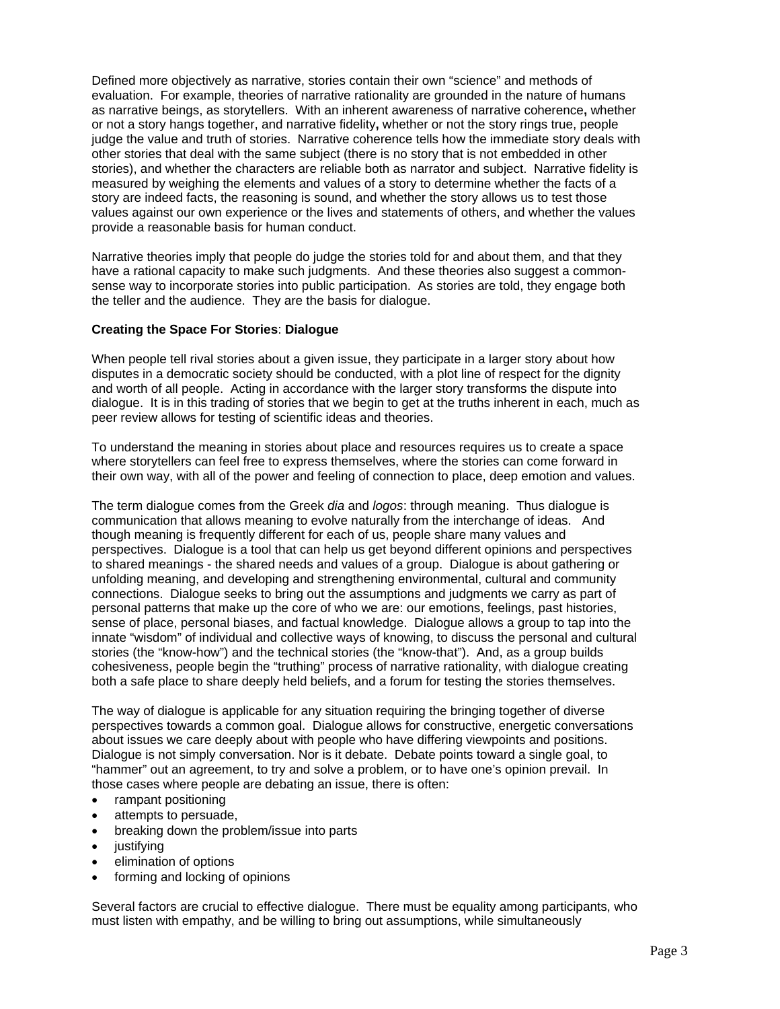Defined more objectively as narrative, stories contain their own "science" and methods of evaluation. For example, theories of narrative rationality are grounded in the nature of humans as narrative beings, as storytellers. With an inherent awareness of narrative coherence**,** whether or not a story hangs together, and narrative fidelity**,** whether or not the story rings true, people judge the value and truth of stories. Narrative coherence tells how the immediate story deals with other stories that deal with the same subject (there is no story that is not embedded in other stories), and whether the characters are reliable both as narrator and subject. Narrative fidelity is measured by weighing the elements and values of a story to determine whether the facts of a story are indeed facts, the reasoning is sound, and whether the story allows us to test those values against our own experience or the lives and statements of others, and whether the values provide a reasonable basis for human conduct.

Narrative theories imply that people do judge the stories told for and about them, and that they have a rational capacity to make such judgments. And these theories also suggest a commonsense way to incorporate stories into public participation. As stories are told, they engage both the teller and the audience. They are the basis for dialogue.

# **Creating the Space For Stories**: **Dialogue**

When people tell rival stories about a given issue, they participate in a larger story about how disputes in a democratic society should be conducted, with a plot line of respect for the dignity and worth of all people. Acting in accordance with the larger story transforms the dispute into dialogue. It is in this trading of stories that we begin to get at the truths inherent in each, much as peer review allows for testing of scientific ideas and theories.

To understand the meaning in stories about place and resources requires us to create a space where storytellers can feel free to express themselves, where the stories can come forward in their own way, with all of the power and feeling of connection to place, deep emotion and values.

The term dialogue comes from the Greek *dia* and *logos*: through meaning. Thus dialogue is communication that allows meaning to evolve naturally from the interchange of ideas. And though meaning is frequently different for each of us, people share many values and perspectives. Dialogue is a tool that can help us get beyond different opinions and perspectives to shared meanings - the shared needs and values of a group. Dialogue is about gathering or unfolding meaning, and developing and strengthening environmental, cultural and community connections. Dialogue seeks to bring out the assumptions and judgments we carry as part of personal patterns that make up the core of who we are: our emotions, feelings, past histories, sense of place, personal biases, and factual knowledge. Dialogue allows a group to tap into the innate "wisdom" of individual and collective ways of knowing, to discuss the personal and cultural stories (the "know-how") and the technical stories (the "know-that"). And, as a group builds cohesiveness, people begin the "truthing" process of narrative rationality, with dialogue creating both a safe place to share deeply held beliefs, and a forum for testing the stories themselves.

The way of dialogue is applicable for any situation requiring the bringing together of diverse perspectives towards a common goal. Dialogue allows for constructive, energetic conversations about issues we care deeply about with people who have differing viewpoints and positions. Dialogue is not simply conversation. Nor is it debate. Debate points toward a single goal, to "hammer" out an agreement, to try and solve a problem, or to have one's opinion prevail. In those cases where people are debating an issue, there is often:

- rampant positioning
- attempts to persuade,
- breaking down the problem/issue into parts
- justifying
- elimination of options
- forming and locking of opinions

Several factors are crucial to effective dialogue. There must be equality among participants, who must listen with empathy, and be willing to bring out assumptions, while simultaneously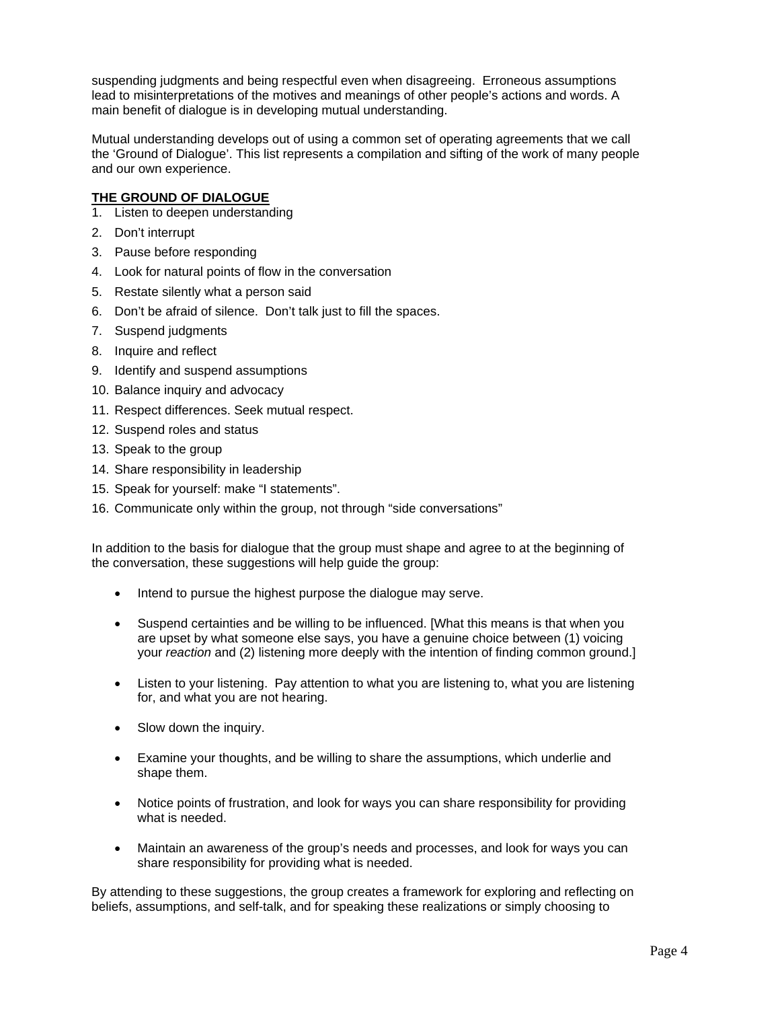suspending judgments and being respectful even when disagreeing. Erroneous assumptions lead to misinterpretations of the motives and meanings of other people's actions and words. A main benefit of dialogue is in developing mutual understanding.

Mutual understanding develops out of using a common set of operating agreements that we call the 'Ground of Dialogue'. This list represents a compilation and sifting of the work of many people and our own experience.

# **THE GROUND OF DIALOGUE**

- 1. Listen to deepen understanding
- 2. Don't interrupt
- 3. Pause before responding
- 4. Look for natural points of flow in the conversation
- 5. Restate silently what a person said
- 6. Don't be afraid of silence. Don't talk just to fill the spaces.
- 7. Suspend judgments
- 8. Inquire and reflect
- 9. Identify and suspend assumptions
- 10. Balance inquiry and advocacy
- 11. Respect differences. Seek mutual respect.
- 12. Suspend roles and status
- 13. Speak to the group
- 14. Share responsibility in leadership
- 15. Speak for yourself: make "I statements".
- 16. Communicate only within the group, not through "side conversations"

In addition to the basis for dialogue that the group must shape and agree to at the beginning of the conversation, these suggestions will help guide the group:

- Intend to pursue the highest purpose the dialogue may serve.
- Suspend certainties and be willing to be influenced. [What this means is that when you are upset by what someone else says, you have a genuine choice between (1) voicing your *reaction* and (2) listening more deeply with the intention of finding common ground.]
- Listen to your listening. Pay attention to what you are listening to, what you are listening for, and what you are not hearing.
- Slow down the inquiry.
- Examine your thoughts, and be willing to share the assumptions, which underlie and shape them.
- Notice points of frustration, and look for ways you can share responsibility for providing what is needed.
- Maintain an awareness of the group's needs and processes, and look for ways you can share responsibility for providing what is needed.

By attending to these suggestions, the group creates a framework for exploring and reflecting on beliefs, assumptions, and self-talk, and for speaking these realizations or simply choosing to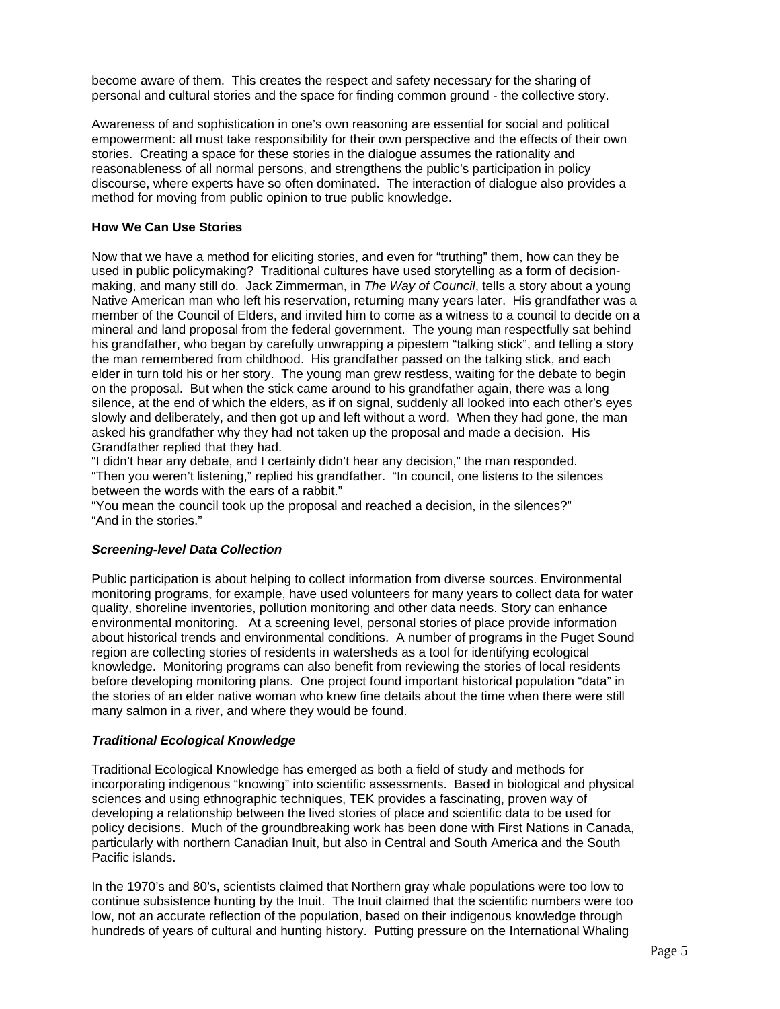become aware of them. This creates the respect and safety necessary for the sharing of personal and cultural stories and the space for finding common ground - the collective story.

Awareness of and sophistication in one's own reasoning are essential for social and political empowerment: all must take responsibility for their own perspective and the effects of their own stories. Creating a space for these stories in the dialogue assumes the rationality and reasonableness of all normal persons, and strengthens the public's participation in policy discourse, where experts have so often dominated. The interaction of dialogue also provides a method for moving from public opinion to true public knowledge.

## **How We Can Use Stories**

Now that we have a method for eliciting stories, and even for "truthing" them, how can they be used in public policymaking? Traditional cultures have used storytelling as a form of decisionmaking, and many still do. Jack Zimmerman, in *The Way of Council*, tells a story about a young Native American man who left his reservation, returning many years later. His grandfather was a member of the Council of Elders, and invited him to come as a witness to a council to decide on a mineral and land proposal from the federal government. The young man respectfully sat behind his grandfather, who began by carefully unwrapping a pipestem "talking stick", and telling a story the man remembered from childhood. His grandfather passed on the talking stick, and each elder in turn told his or her story. The young man grew restless, waiting for the debate to begin on the proposal. But when the stick came around to his grandfather again, there was a long silence, at the end of which the elders, as if on signal, suddenly all looked into each other's eyes slowly and deliberately, and then got up and left without a word. When they had gone, the man asked his grandfather why they had not taken up the proposal and made a decision. His Grandfather replied that they had.

"I didn't hear any debate, and I certainly didn't hear any decision," the man responded. "Then you weren't listening," replied his grandfather. "In council, one listens to the silences between the words with the ears of a rabbit."

"You mean the council took up the proposal and reached a decision, in the silences?" "And in the stories."

# *Screening-level Data Collection*

Public participation is about helping to collect information from diverse sources. Environmental monitoring programs, for example, have used volunteers for many years to collect data for water quality, shoreline inventories, pollution monitoring and other data needs. Story can enhance environmental monitoring. At a screening level, personal stories of place provide information about historical trends and environmental conditions. A number of programs in the Puget Sound region are collecting stories of residents in watersheds as a tool for identifying ecological knowledge. Monitoring programs can also benefit from reviewing the stories of local residents before developing monitoring plans. One project found important historical population "data" in the stories of an elder native woman who knew fine details about the time when there were still many salmon in a river, and where they would be found.

#### *Traditional Ecological Knowledge*

Traditional Ecological Knowledge has emerged as both a field of study and methods for incorporating indigenous "knowing" into scientific assessments. Based in biological and physical sciences and using ethnographic techniques, TEK provides a fascinating, proven way of developing a relationship between the lived stories of place and scientific data to be used for policy decisions. Much of the groundbreaking work has been done with First Nations in Canada, particularly with northern Canadian Inuit, but also in Central and South America and the South Pacific islands.

In the 1970's and 80's, scientists claimed that Northern gray whale populations were too low to continue subsistence hunting by the Inuit. The Inuit claimed that the scientific numbers were too low, not an accurate reflection of the population, based on their indigenous knowledge through hundreds of years of cultural and hunting history. Putting pressure on the International Whaling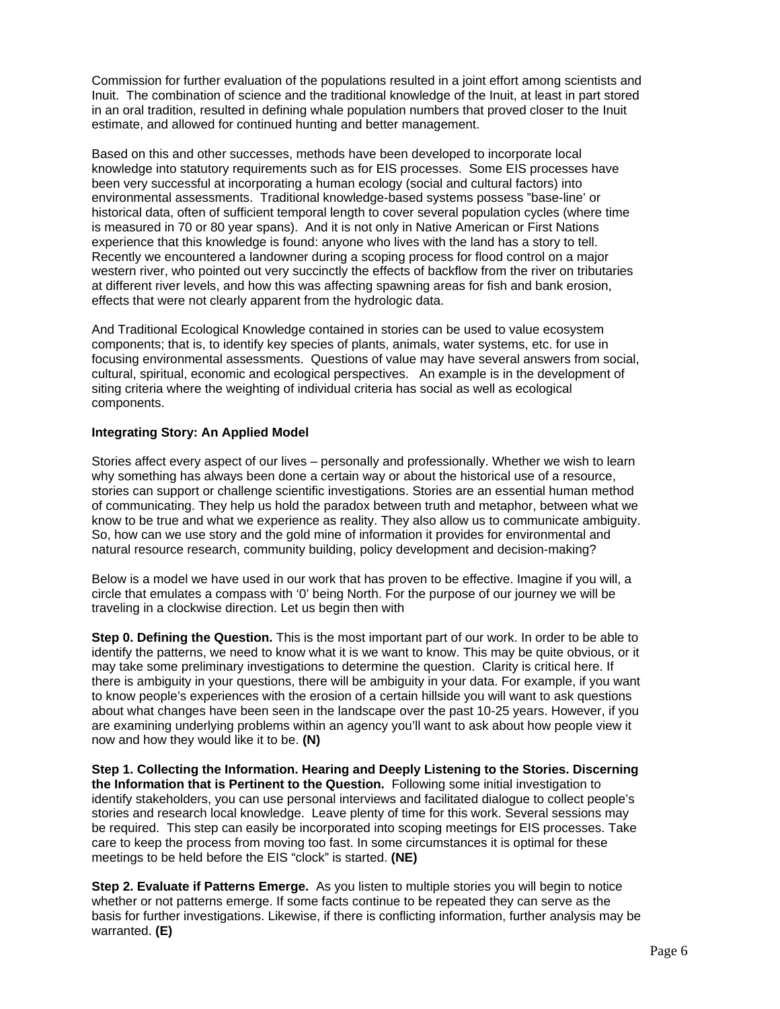Commission for further evaluation of the populations resulted in a joint effort among scientists and Inuit. The combination of science and the traditional knowledge of the Inuit, at least in part stored in an oral tradition, resulted in defining whale population numbers that proved closer to the Inuit estimate, and allowed for continued hunting and better management.

Based on this and other successes, methods have been developed to incorporate local knowledge into statutory requirements such as for EIS processes. Some EIS processes have been very successful at incorporating a human ecology (social and cultural factors) into environmental assessments. Traditional knowledge-based systems possess "base-line' or historical data, often of sufficient temporal length to cover several population cycles (where time is measured in 70 or 80 year spans). And it is not only in Native American or First Nations experience that this knowledge is found: anyone who lives with the land has a story to tell. Recently we encountered a landowner during a scoping process for flood control on a major western river, who pointed out very succinctly the effects of backflow from the river on tributaries at different river levels, and how this was affecting spawning areas for fish and bank erosion, effects that were not clearly apparent from the hydrologic data.

And Traditional Ecological Knowledge contained in stories can be used to value ecosystem components; that is, to identify key species of plants, animals, water systems, etc. for use in focusing environmental assessments. Questions of value may have several answers from social, cultural, spiritual, economic and ecological perspectives. An example is in the development of siting criteria where the weighting of individual criteria has social as well as ecological components.

# **Integrating Story: An Applied Model**

Stories affect every aspect of our lives – personally and professionally. Whether we wish to learn why something has always been done a certain way or about the historical use of a resource, stories can support or challenge scientific investigations. Stories are an essential human method of communicating. They help us hold the paradox between truth and metaphor, between what we know to be true and what we experience as reality. They also allow us to communicate ambiguity. So, how can we use story and the gold mine of information it provides for environmental and natural resource research, community building, policy development and decision-making?

Below is a model we have used in our work that has proven to be effective. Imagine if you will, a circle that emulates a compass with '0' being North. For the purpose of our journey we will be traveling in a clockwise direction. Let us begin then with

**Step 0. Defining the Question.** This is the most important part of our work. In order to be able to identify the patterns, we need to know what it is we want to know. This may be quite obvious, or it may take some preliminary investigations to determine the question. Clarity is critical here. If there is ambiguity in your questions, there will be ambiguity in your data. For example, if you want to know people's experiences with the erosion of a certain hillside you will want to ask questions about what changes have been seen in the landscape over the past 10-25 years. However, if you are examining underlying problems within an agency you'll want to ask about how people view it now and how they would like it to be. **(N)**

**Step 1. Collecting the Information. Hearing and Deeply Listening to the Stories. Discerning the Information that is Pertinent to the Question.** Following some initial investigation to identify stakeholders, you can use personal interviews and facilitated dialogue to collect people's stories and research local knowledge. Leave plenty of time for this work. Several sessions may be required. This step can easily be incorporated into scoping meetings for EIS processes. Take care to keep the process from moving too fast. In some circumstances it is optimal for these meetings to be held before the EIS "clock" is started. **(NE)**

**Step 2. Evaluate if Patterns Emerge.** As you listen to multiple stories you will begin to notice whether or not patterns emerge. If some facts continue to be repeated they can serve as the basis for further investigations. Likewise, if there is conflicting information, further analysis may be warranted. **(E)**